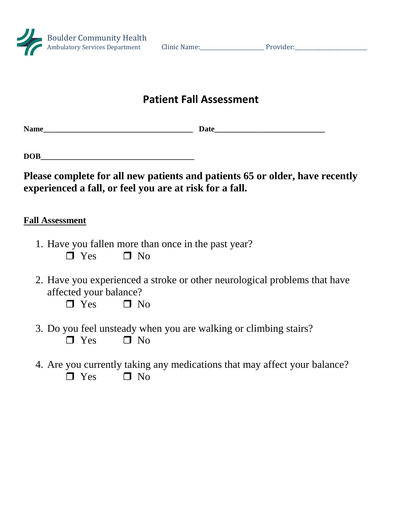

## **Patient Fall Assessment**

**Name Date** 

| <b>DOB</b> |  |  |  |
|------------|--|--|--|
|            |  |  |  |

**Please complete for all new patients and patients 65 or older, have recently experienced a fall, or feel you are at risk for a fall.**

## **Fall Assessment**

- 1. Have you fallen more than once in the past year?  $\Box$  Yes  $\Box$  No
- 2. Have you experienced a stroke or other neurological problems that have affected your balance?

 $\Box$  Yes  $\Box$  No

- 3. Do you feel unsteady when you are walking or climbing stairs?  $\Box$  Yes  $\Box$  No
- 4. Are you currently taking any medications that may affect your balance?  $\Box$  Yes  $\Box$  No